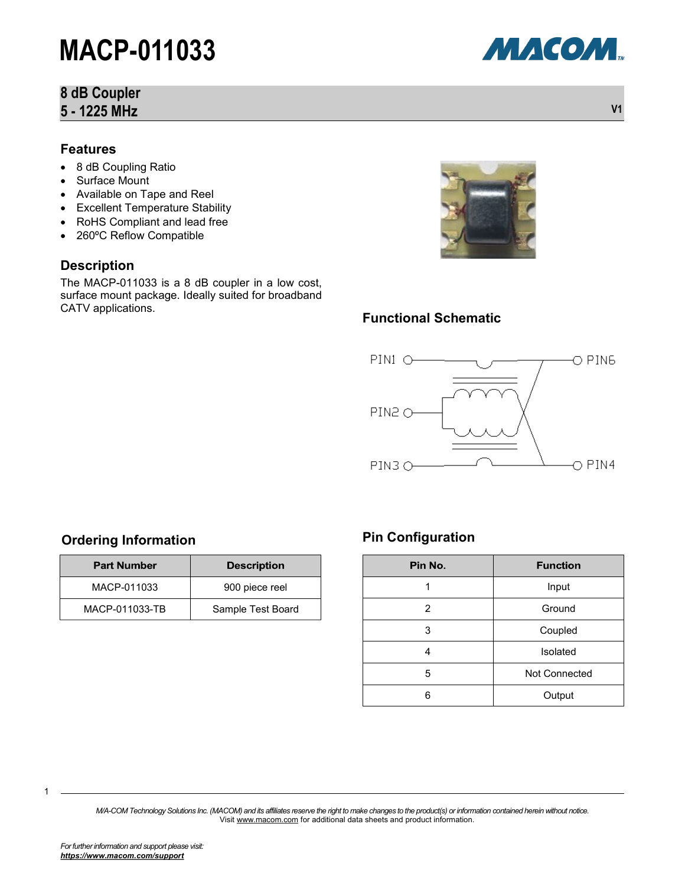## **8 dB Coupler 5 - 1225 MHz V1**

### **Features**

- 8 dB Coupling Ratio
- Surface Mount
- Available on Tape and Reel
- Excellent Temperature Stability
- RoHS Compliant and lead free
- 260°C Reflow Compatible

### **Description**

The MACP-011033 is a 8 dB coupler in a low cost, surface mount package. Ideally suited for broadband CATV applications.



### **Functional Schematic**



## **Ordering Information**

| <b>Part Number</b> | <b>Description</b> |  |
|--------------------|--------------------|--|
| MACP-011033        | 900 piece reel     |  |
| MACP-011033-TB     | Sample Test Board  |  |

## **Pin Configuration**

| Pin No. | <b>Function</b> |  |  |
|---------|-----------------|--|--|
| 1       | Input           |  |  |
| 2       | Ground          |  |  |
| 3       | Coupled         |  |  |
| 4       | Isolated        |  |  |
| 5       | Not Connected   |  |  |
| ี       | Output          |  |  |

*M/A-COM Technology Solutions Inc. (MACOM) and its affiliates reserve the right to make changes to the product(s) or information contained herein without notice.*  Visit [www.macom.com](http://www.macom.com/) for additional data sheets and product information.

1

МАСОМ.

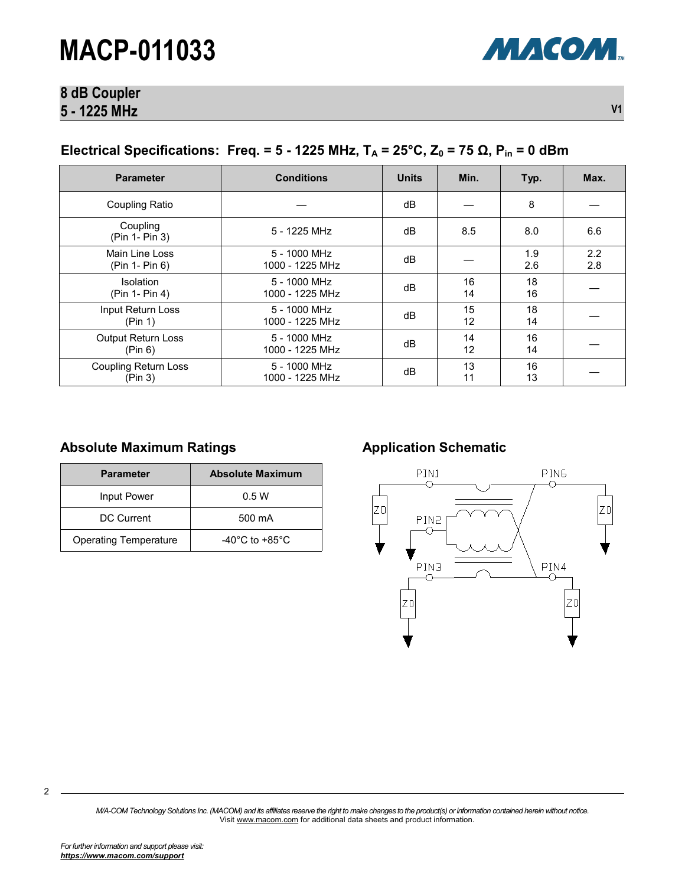

## **8 dB Coupler 5 - 1225 MHz V1**

## **Electrical Specifications: Freq. = 5 - 1225 MHz, T<sup>A</sup> = 25°C, Z<sup>0</sup> = 75 Ω, Pin = 0 dBm**

| <b>Parameter</b>                       | <b>Conditions</b>               | <b>Units</b> | Min.     | Typ.       | Max.       |
|----------------------------------------|---------------------------------|--------------|----------|------------|------------|
| Coupling Ratio                         |                                 | dB           |          | 8          |            |
| Coupling<br>(Pin 1- Pin 3)             | 5 - 1225 MHz                    | dB           | 8.5      | 8.0        | 6.6        |
| Main Line Loss<br>(Pin 1- Pin 6)       | 5 - 1000 MHz<br>1000 - 1225 MHz | dB           |          | 1.9<br>2.6 | 2.2<br>2.8 |
| <b>Isolation</b><br>(Pin 1- Pin 4)     | 5 - 1000 MHz<br>1000 - 1225 MHz | dB           | 16<br>14 | 18<br>16   |            |
| Input Return Loss<br>(Pin 1)           | 5 - 1000 MHz<br>1000 - 1225 MHz | dB           | 15<br>12 | 18<br>14   |            |
| <b>Output Return Loss</b><br>(Pin 6)   | 5 - 1000 MHz<br>1000 - 1225 MHz | dB           | 14<br>12 | 16<br>14   |            |
| <b>Coupling Return Loss</b><br>(Pin 3) | 5 - 1000 MHz<br>1000 - 1225 MHz | dB           | 13<br>11 | 16<br>13   |            |

### Absolute Maximum Ratings **Allemantic Application Schematic**

| <b>Parameter</b>             | <b>Absolute Maximum</b>              |
|------------------------------|--------------------------------------|
| Input Power                  | 0.5W                                 |
| DC Current                   | 500 mA                               |
| <b>Operating Temperature</b> | -40 $^{\circ}$ C to +85 $^{\circ}$ C |

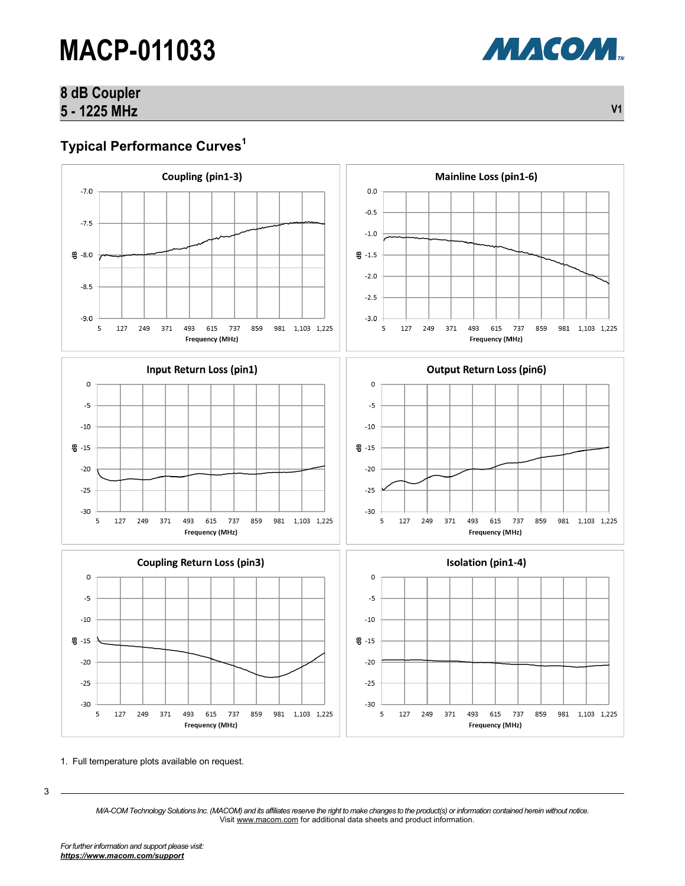## **8 dB Coupler 5 - 1225 MHz V1**

## **Typical Performance Curves<sup>1</sup>**



1. Full temperature plots available on request.

3

*M/A-COM Technology Solutions Inc. (MACOM) and its affiliates reserve the right to make changes to the product(s) or information contained herein without notice.*  Visit [www.macom.com](http://www.macom.com/) for additional data sheets and product information.

МАСОМ.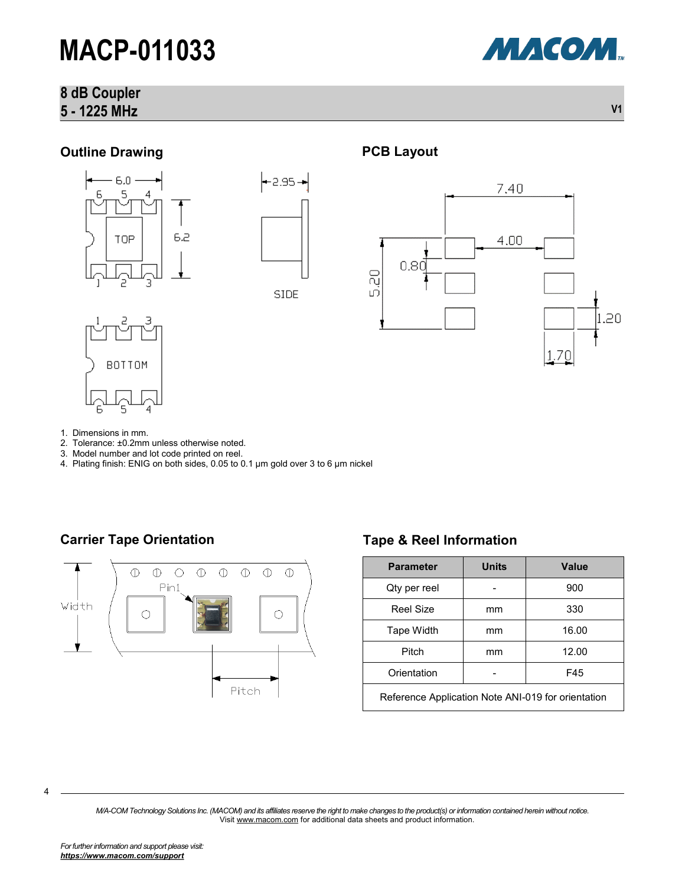## **8 dB Coupler 5 - 1225 MHz V1**



МАСОМ.

## **Outline Drawing**







1. Dimensions in mm.

BOTTOM

5

2. Tolerance: ±0.2mm unless otherwise noted.

4

- 3. Model number and lot code printed on reel.
- 4. Plating finish: ENIG on both sides, 0.05 to 0.1 µm gold over 3 to 6 µm nickel



## **Carrier Tape Orientation Tape & Reel Information**

| <b>Parameter</b>                                   | <b>Units</b> | Value |  |  |
|----------------------------------------------------|--------------|-------|--|--|
| Qty per reel                                       |              | 900   |  |  |
| <b>Reel Size</b>                                   | mm           | 330   |  |  |
| Tape Width                                         | mm           | 16.00 |  |  |
| Pitch                                              | mm           | 12.00 |  |  |
| Orientation                                        |              | F45   |  |  |
| Reference Application Note ANI-019 for orientation |              |       |  |  |

4

*M/A-COM Technology Solutions Inc. (MACOM) and its affiliates reserve the right to make changes to the product(s) or information contained herein without notice.*  Visit [www.macom.com](http://www.macom.com/) for additional data sheets and product information.

**PCB Layout**